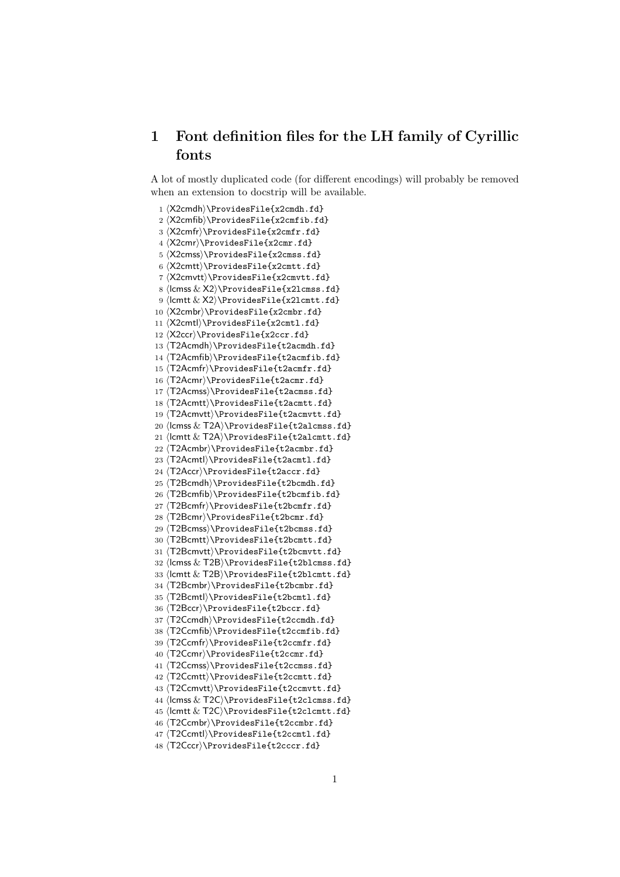# 1 Font definition files for the LH family of Cyrillic fonts

A lot of mostly duplicated code (for different encodings) will probably be removed when an extension to docstrip will be available.

 ⟨X2cmdh⟩\ProvidesFile{x2cmdh.fd} ⟨X2cmfib⟩\ProvidesFile{x2cmfib.fd} ⟨X2cmfr⟩\ProvidesFile{x2cmfr.fd} ⟨X2cmr⟩\ProvidesFile{x2cmr.fd} ⟨X2cmss⟩\ProvidesFile{x2cmss.fd} ⟨X2cmtt⟩\ProvidesFile{x2cmtt.fd} ⟨X2cmvtt⟩\ProvidesFile{x2cmvtt.fd} ⟨lcmss & X2⟩\ProvidesFile{x2lcmss.fd} ⟨lcmtt & X2⟩\ProvidesFile{x2lcmtt.fd} ⟨X2cmbr⟩\ProvidesFile{x2cmbr.fd} ⟨X2cmtl⟩\ProvidesFile{x2cmtl.fd} ⟨X2ccr⟩\ProvidesFile{x2ccr.fd} ⟨T2Acmdh⟩\ProvidesFile{t2acmdh.fd} ⟨T2Acmfib⟩\ProvidesFile{t2acmfib.fd} ⟨T2Acmfr⟩\ProvidesFile{t2acmfr.fd} ⟨T2Acmr⟩\ProvidesFile{t2acmr.fd} ⟨T2Acmss⟩\ProvidesFile{t2acmss.fd} ⟨T2Acmtt⟩\ProvidesFile{t2acmtt.fd} ⟨T2Acmvtt⟩\ProvidesFile{t2acmvtt.fd} ⟨lcmss & T2A⟩\ProvidesFile{t2alcmss.fd} ⟨lcmtt & T2A⟩\ProvidesFile{t2alcmtt.fd} ⟨T2Acmbr⟩\ProvidesFile{t2acmbr.fd} ⟨T2Acmtl⟩\ProvidesFile{t2acmtl.fd} ⟨T2Accr⟩\ProvidesFile{t2accr.fd} ⟨T2Bcmdh⟩\ProvidesFile{t2bcmdh.fd} ⟨T2Bcmfib⟩\ProvidesFile{t2bcmfib.fd} ⟨T2Bcmfr⟩\ProvidesFile{t2bcmfr.fd} ⟨T2Bcmr⟩\ProvidesFile{t2bcmr.fd} ⟨T2Bcmss⟩\ProvidesFile{t2bcmss.fd} ⟨T2Bcmtt⟩\ProvidesFile{t2bcmtt.fd} ⟨T2Bcmvtt⟩\ProvidesFile{t2bcmvtt.fd} ⟨lcmss & T2B⟩\ProvidesFile{t2blcmss.fd} ⟨lcmtt & T2B⟩\ProvidesFile{t2blcmtt.fd} ⟨T2Bcmbr⟩\ProvidesFile{t2bcmbr.fd} ⟨T2Bcmtl⟩\ProvidesFile{t2bcmtl.fd} ⟨T2Bccr⟩\ProvidesFile{t2bccr.fd} ⟨T2Ccmdh⟩\ProvidesFile{t2ccmdh.fd} ⟨T2Ccmfib⟩\ProvidesFile{t2ccmfib.fd} ⟨T2Ccmfr⟩\ProvidesFile{t2ccmfr.fd} ⟨T2Ccmr⟩\ProvidesFile{t2ccmr.fd} ⟨T2Ccmss⟩\ProvidesFile{t2ccmss.fd} ⟨T2Ccmtt⟩\ProvidesFile{t2ccmtt.fd} ⟨T2Ccmvtt⟩\ProvidesFile{t2ccmvtt.fd} ⟨lcmss & T2C⟩\ProvidesFile{t2clcmss.fd} ⟨lcmtt & T2C⟩\ProvidesFile{t2clcmtt.fd} ⟨T2Ccmbr⟩\ProvidesFile{t2ccmbr.fd} ⟨T2Ccmtl⟩\ProvidesFile{t2ccmtl.fd} ⟨T2Cccr⟩\ProvidesFile{t2cccr.fd}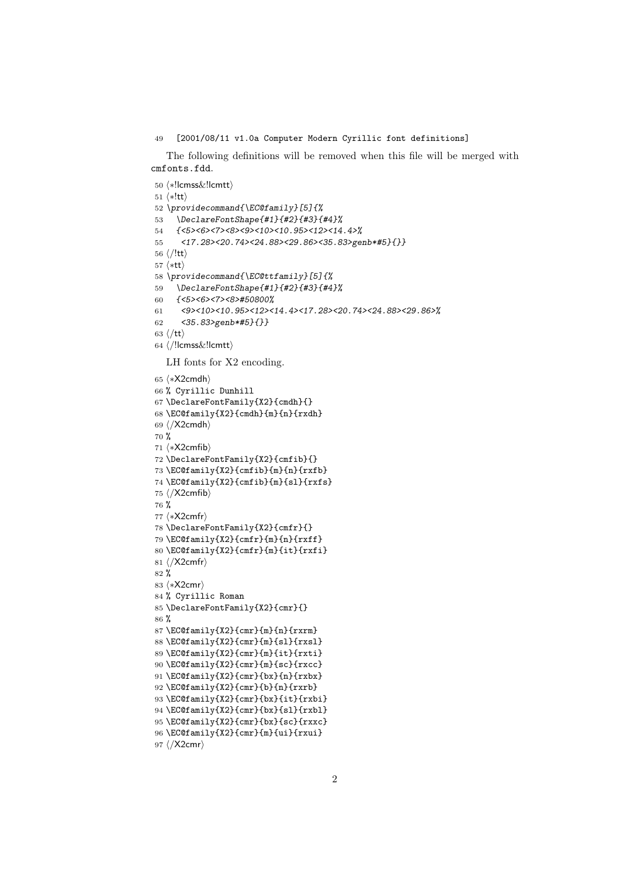#### [2001/08/11 v1.0a Computer Modern Cyrillic font definitions]

The following definitions will be removed when this file will be merged with cmfonts.fdd.

```
50 ⟨∗!lcmss&!lcmtt⟩
51 ⟨∗!tt⟩
52 \providecommand{\EC@family}[5]{%
53 \DeclareFontShape{#1}{#2}{#3}{#4}%
54 {<5><6><7><8><9><10><10.95><12><14.4>%
55 <17.28><20.74><24.88><29.86><35.83>genb*#5}{}}
56 \langle/!tt\rangle57 ⟨∗tt⟩
58 \providecommand{\EC@ttfamily}[5]{%
59 \DeclareFontShape{#1}{#2}{#3}{#4}%
60 {<5><6><7><8>#50800%
61 <9><10><10.95><12><14.4><17.28><20.74><24.88><29.86>%
62 <35.83>genb*#5}{}}
63 ⟨/tt⟩
64 ⟨/!lcmss&!lcmtt⟩
  LH fonts for X2 encoding.
65 ⟨∗X2cmdh⟩
66 % Cyrillic Dunhill
67 \DeclareFontFamily{X2}{cmdh}{}
68 \EC@family{X2}{cmdh}{m}{n}{rxdh}
69 ⟨/X2cmdh⟩
70 %
71 ⟨∗X2cmfib⟩
72 \DeclareFontFamily{X2}{cmfib}{}
73 \EC@family{X2}{cmfib}{m}{n}{rxfb}
74 \EC@family{X2}{cmfib}{m}{sl}{rxfs}
75 ⟨/X2cmfib⟩
76 %
77 ⟨∗X2cmfr⟩
78 \DeclareFontFamily{X2}{cmfr}{}
79 \EC@family{X2}{cmfr}{m}{n}{rxff}
80 \EC@family{X2}{cmfr}{m}{it}{rxfi}
81 ⟨/X2cmfr⟩
82 %
83 ⟨∗X2cmr⟩
84 % Cyrillic Roman
85 \DeclareFontFamily{X2}{cmr}{}
86 %
87 \EC@family{X2}{cmr}{m}{n}{rxrm}
88 \EC@family{X2}{cmr}{m}{sl}{rxsl}
89 \EC@family{X2}{cmr}{m}{it}{rxti}
90 \EC@family{X2}{cmr}{m}{sc}{rxcc}
91 \EC@family{X2}{cmr}{bx}{n}{rxbx}
92 \EC@family{X2}{cmr}{b}{n}{rxrb}
93 \EC@family{X2}{cmr}{bx}{it}{rxbi}
94 \EC@family{X2}{cmr}{bx}{sl}{rxbl}
95 \EC@family{X2}{cmr}{bx}{sc}{rxxc}
96 \EC@family{X2}{cmr}{m}{ui}{rxui}
```

```
97 ⟨/X2cmr⟩
```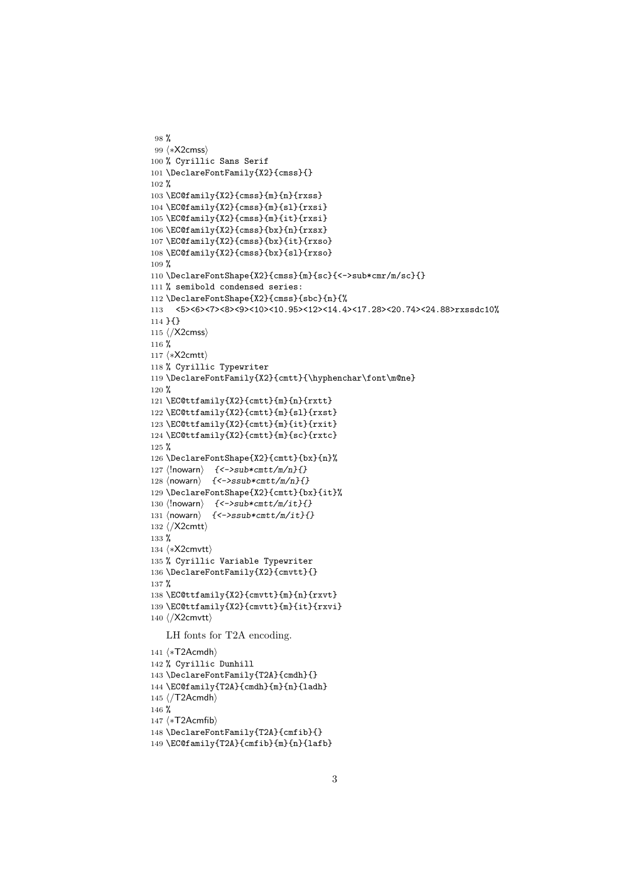```
98 %
99 ⟨∗X2cmss⟩
100 % Cyrillic Sans Serif
101 \DeclareFontFamily{X2}{cmss}{}
102 %
103 \EC@family{X2}{cmss}{m}{n}{rxss}
104 \EC@family{X2}{cmss}{m}{sl}{rxsi}
105 \EC@family{X2}{cmss}{m}{it}{rxsi}
106 \EC@family{X2}{cmss}{bx}{n}{rxsx}
107 \EC@family{X2}{cmss}{bx}{it}{rxso}
108 \EC@family{X2}{cmss}{bx}{sl}{rxso}
109 %
110 \DeclareFontShape{X2}{cmss}{m}{sc}{<->sub*cmr/m/sc}{}
111 % semibold condensed series:
112 \DeclareFontShape{X2}{cmss}{sbc}{n}{%
113 <5><6><7><8><9><10><10.95><12><14.4><17.28><20.74><24.88>rxssdc10%
114 }{}
115 ⟨/X2cmss⟩
116 %
117 ⟨∗X2cmtt⟩
118 % Cyrillic Typewriter
119 \DeclareFontFamily{X2}{cmtt}{\hyphenchar\font\m@ne}
120 %
121 \EC@ttfamily{X2}{cmtt}{m}{n}{rxtt}
122 \EC@ttfamily{X2}{cmtt}{m}{sl}{rxst}
123 \EC@ttfamily{X2}{cmtt}{m}{it}{rxit}
124 \EC@ttfamily{X2}{cmtt}{m}{sc}{rxtc}
125 %
126 \DeclareFontShape{X2}{cmtt}{bx}{n}%
127 \langle!nowarn\rangle {<->sub*cmtt/m/n}{}
128 \langlenowarn\rangle { <->ssub*cmtt/m/n}{}
129 \DeclareFontShape{X2}{cmtt}{bx}{it}%
130 \langle !nowarn \rangle { < - > sub * cmtt/m/it} { }
131 \langlenowarn\rangle { <->ssub*cmtt/m/it}{}
132 ⟨/X2cmtt⟩
133 %
134 ⟨∗X2cmvtt⟩
135 % Cyrillic Variable Typewriter
136 \DeclareFontFamily{X2}{cmvtt}{}
137 %
138 \EC@ttfamily{X2}{cmvtt}{m}{n}{rxvt}
139 \EC@ttfamily{X2}{cmvtt}{m}{it}{rxvi}
140 ⟨/X2cmvtt⟩
   LH fonts for T2A encoding.
141 ⟨∗T2Acmdh⟩
142 % Cyrillic Dunhill
143 \DeclareFontFamily{T2A}{cmdh}{}
144 \EC@family{T2A}{cmdh}{m}{n}{ladh}
145 ⟨/T2Acmdh⟩
146 %
147 ⟨∗T2Acmfib⟩
148 \DeclareFontFamily{T2A}{cmfib}{}
```

```
149 \EC@family{T2A}{cmfib}{m}{n}{lafb}
```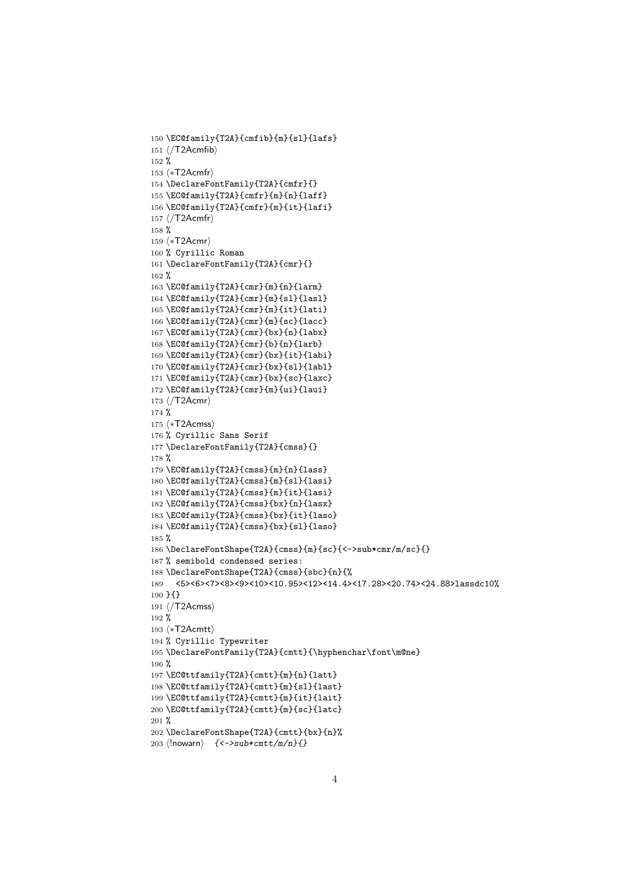```
150 \EC@family{T2A}{cmfib}{m}{sl}{lafs}
151 ⟨/T2Acmfib⟩
152 %
153 ⟨∗T2Acmfr⟩
154 \DeclareFontFamily{T2A}{cmfr}{}
155 \EC@family{T2A}{cmfr}{m}{n}{laff}
156 \EC@family{T2A}{cmfr}{m}{it}{lafi}
157 ⟨/T2Acmfr⟩
158 %
159 ⟨∗T2Acmr⟩
160 % Cyrillic Roman
161 \DeclareFontFamily{T2A}{cmr}{}
162 %
163 \EC@family{T2A}{cmr}{m}{n}{larm}
164 \EC@family{T2A}{cmr}{m}{sl}{lasl}
165 \EC@family{T2A}{cmr}{m}{it}{lati}
166 \EC@family{T2A}{cmr}{m}{sc}{lacc}
167 \EC@family{T2A}{cmr}{bx}{n}{labx}
168 \EC@family{T2A}{cmr}{b}{n}{larb}
169 \EC@family{T2A}{cmr}{bx}{it}{labi}
170 \EC@family{T2A}{cmr}{bx}{sl}{labl}
171 \EC@family{T2A}{cmr}{bx}{sc}{laxc}
172 \EC@family{T2A}{cmr}{m}{ui}{laui}
173 ⟨/T2Acmr⟩
174 %
175 ⟨∗T2Acmss⟩
176 % Cyrillic Sans Serif
177 \DeclareFontFamily{T2A}{cmss}{}
178 %
179 \EC@family{T2A}{cmss}{m}{n}{lass}
180 \EC@family{T2A}{cmss}{m}{sl}{lasi}
181 \EC@family{T2A}{cmss}{m}{it}{lasi}
182 \EC@family{T2A}{cmss}{bx}{n}{lasx}
183 \EC@family{T2A}{cmss}{bx}{it}{laso}
184 \EC@family{T2A}{cmss}{bx}{sl}{laso}
185 %
186 \DeclareFontShape{T2A}{cmss}{m}{sc}{<->sub*cmr/m/sc}{}
187 % semibold condensed series:
188 \DeclareFontShape{T2A}{cmss}{sbc}{n}{%
189 <5><6><7><8><9><10><10.95><12><14.4><17.28><20.74><24.88>lassdc10%
190 }{}
191 ⟨/T2Acmss⟩
192 %
193 ⟨∗T2Acmtt⟩
194 % Cyrillic Typewriter
195 \DeclareFontFamily{T2A}{cmtt}{\hyphenchar\font\m@ne}
196 %
197 \EC@ttfamily{T2A}{cmtt}{m}{n}{latt}
198 \EC@ttfamily{T2A}{cmtt}{m}{sl}{last}
199 \EC@ttfamily{T2A}{cmtt}{m}{it}{lait}
200 \EC@ttfamily{T2A}{cmtt}{m}{sc}{latc}
201 %
202 \DeclareFontShape{T2A}{cmtt}{bx}{n}%
203 ⟨!nowarn⟩ {<->sub*cmtt/m/n}{}
```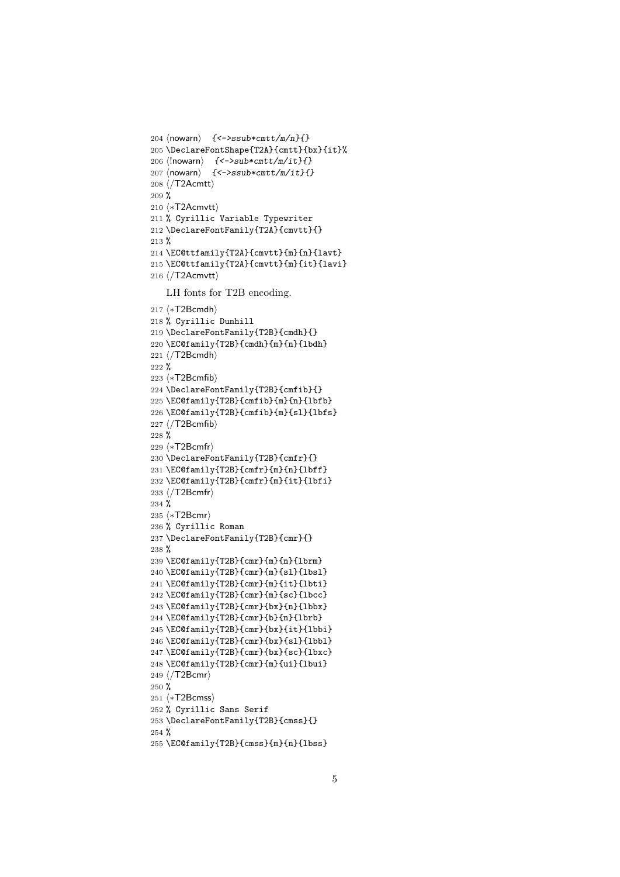```
204 \langlenowarn\rangle { < ->ssub*cmtt/m/n}{}
205 \DeclareFontShape{T2A}{cmtt}{bx}{it}%
206 \langle lnowarn \rangle { < - > sub* cmtt/m/it } { }
207 ⟨nowarn⟩ {<->ssub*cmtt/m/it}{}
208 ⟨/T2Acmtt⟩
209 %
210 ⟨∗T2Acmvtt⟩
211 % Cyrillic Variable Typewriter
212 \DeclareFontFamily{T2A}{cmvtt}{}
213 %
214 \EC@ttfamily{T2A}{cmvtt}{m}{n}{lavt}
215 \EC@ttfamily{T2A}{cmvtt}{m}{it}{lavi}
216 ⟨/T2Acmvtt⟩
   LH fonts for T2B encoding.
217 ⟨∗T2Bcmdh⟩
218 % Cyrillic Dunhill
219 \DeclareFontFamily{T2B}{cmdh}{}
220 \EC@family{T2B}{cmdh}{m}{n}{lbdh}
221 ⟨/T2Bcmdh⟩
222 %
223 ⟨∗T2Bcmfib⟩
224 \DeclareFontFamily{T2B}{cmfib}{}
225 \EC@family{T2B}{cmfib}{m}{n}{lbfb}
226 \EC@family{T2B}{cmfib}{m}{sl}{lbfs}
227 ⟨/T2Bcmfib⟩
228 %
229 ⟨∗T2Bcmfr⟩
230 \DeclareFontFamily{T2B}{cmfr}{}
231 \EC@family{T2B}{cmfr}{m}{n}{lbff}
232 \EC@family{T2B}{cmfr}{m}{it}{lbfi}
233 ⟨/T2Bcmfr⟩
234 %
235 ⟨∗T2Bcmr⟩
236 % Cyrillic Roman
237 \DeclareFontFamily{T2B}{cmr}{}
238 %
239 \EC@family{T2B}{cmr}{m}{n}{lbrm}
240 \EC@family{T2B}{cmr}{m}{sl}{lbsl}
241 \EC@family{T2B}{cmr}{m}{it}{lbti}
242 \EC@family{T2B}{cmr}{m}{sc}{lbcc}
243 \EC@family{T2B}{cmr}{bx}{n}{lbbx}
244 \EC@family{T2B}{cmr}{b}{n}{lbrb}
245 \EC@family{T2B}{cmr}{bx}{it}{lbbi}
246 \EC@family{T2B}{cmr}{bx}{sl}{lbbl}
247 \EC@family{T2B}{cmr}{bx}{sc}{lbxc}
248 \EC@family{T2B}{cmr}{m}{ui}{lbui}
249 ⟨/T2Bcmr⟩
250 %
251 ⟨∗T2Bcmss⟩
252 % Cyrillic Sans Serif
253 \DeclareFontFamily{T2B}{cmss}{}
254 \%255 \EC@family{T2B}{cmss}{m}{n}{lbss}
```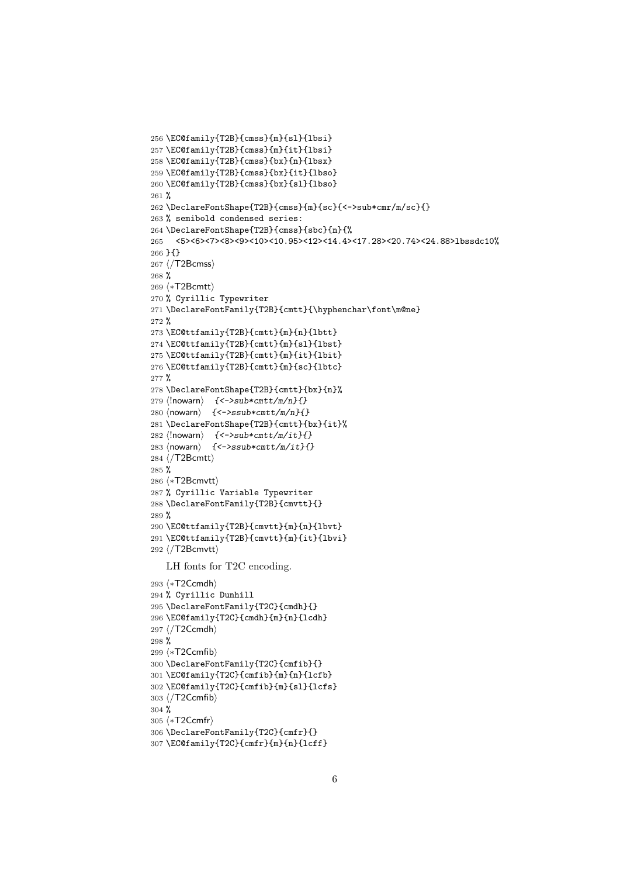```
256 \EC@family{T2B}{cmss}{m}{sl}{lbsi}
257 \EC@family{T2B}{cmss}{m}{it}{lbsi}
258 \EC@family{T2B}{cmss}{bx}{n}{lbsx}
259 \EC@family{T2B}{cmss}{bx}{it}{lbso}
260 \EC@family{T2B}{cmss}{bx}{sl}{lbso}
261 %
262 \DeclareFontShape{T2B}{cmss}{m}{sc}{<->sub*cmr/m/sc}{}
263 % semibold condensed series:
264 \DeclareFontShape{T2B}{cmss}{sbc}{n}{%
265 <5><6><7><8><9><10><10.95><12><14.4><17.28><20.74><24.88>lbssdc10%
266 }{}
267 ⟨/T2Bcmss⟩
268 %
269 ⟨∗T2Bcmtt⟩
270 % Cyrillic Typewriter
271 \DeclareFontFamily{T2B}{cmtt}{\hyphenchar\font\m@ne}
272 %
273 \EC@ttfamily{T2B}{cmtt}{m}{n}{lbtt}
274 \EC@ttfamily{T2B}{cmtt}{m}{sl}{lbst}
275 \EC@ttfamily{T2B}{cmtt}{m}{it}{lbit}
276 \EC@ttfamily{T2B}{cmtt}{m}{sc}{lbtc}
277 %
278 \DeclareFontShape{T2B}{cmtt}{bx}{n}%
279 \langle!nowarn\rangle {<->sub*cmtt/m/n}{}
280 \langlenowarn\rangle { \langle ->ssub*cmtt/m/n}{}
281 \DeclareFontShape{T2B}{cmtt}{bx}{it}%
282 ⟨!nowarn⟩ {<->sub*cmtt/m/it}{}
283 ⟨nowarn⟩ {<->ssub*cmtt/m/it}{}
284 ⟨/T2Bcmtt⟩
285 %
286 ⟨∗T2Bcmvtt⟩
287 % Cyrillic Variable Typewriter
288 \DeclareFontFamily{T2B}{cmvtt}{}
289 %
290 \EC@ttfamily{T2B}{cmvtt}{m}{n}{lbvt}
291 \EC@ttfamily{T2B}{cmvtt}{m}{it}{lbvi}
292 ⟨/T2Bcmvtt⟩
   LH fonts for T2C encoding.
293 ⟨∗T2Ccmdh⟩
294 % Cyrillic Dunhill
295 \DeclareFontFamily{T2C}{cmdh}{}
296 \EC@family{T2C}{cmdh}{m}{n}{lcdh}
297 ⟨/T2Ccmdh⟩
298 %
299 ⟨∗T2Ccmfib⟩
300 \DeclareFontFamily{T2C}{cmfib}{}
301 \EC@family{T2C}{cmfib}{m}{n}{lcfb}
302 \EC@family{T2C}{cmfib}{m}{sl}{lcfs}
303 ⟨/T2Ccmfib⟩
304 %
305 ⟨∗T2Ccmfr⟩
306 \DeclareFontFamily{T2C}{cmfr}{}
```

```
307 \EC@family{T2C}{cmfr}{m}{n}{lcff}
```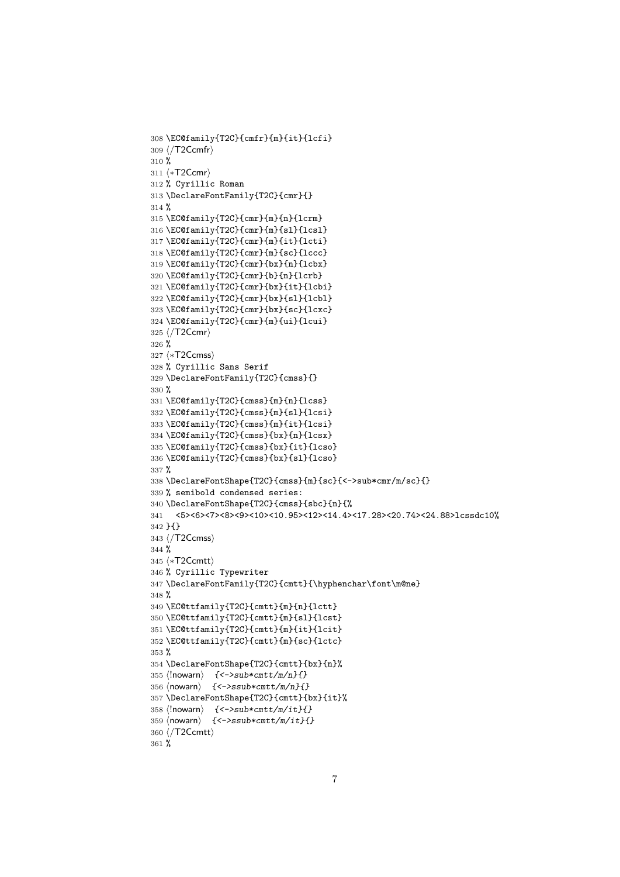```
308 \EC@family{T2C}{cmfr}{m}{it}{lcfi}
309 ⟨/T2Ccmfr⟩
310 %
311 ⟨∗T2Ccmr⟩
312 % Cyrillic Roman
313 \DeclareFontFamily{T2C}{cmr}{}
314 %
315 \EC@family{T2C}{cmr}{m}{n}{lcrm}
316 \EC@family{T2C}{cmr}{m}{sl}{lcsl}
317 \EC@family{T2C}{cmr}{m}{it}{lcti}
318 \EC@family{T2C}{cmr}{m}{sc}{lccc}
319 \EC@family{T2C}{cmr}{bx}{n}{lcbx}
320 \EC@family{T2C}{cmr}{b}{n}{lcrb}
321 \EC@family{T2C}{cmr}{bx}{it}{lcbi}
322 \EC@family{T2C}{cmr}{bx}{sl}{lcbl}
323 \EC@family{T2C}{cmr}{bx}{sc}{lcxc}
324 \EC@family{T2C}{cmr}{m}{ui}{lcui}
325 ⟨/T2Ccmr⟩
326 %
327 ⟨∗T2Ccmss⟩
328 % Cyrillic Sans Serif
329 \DeclareFontFamily{T2C}{cmss}{}
330 %
331 \EC@family{T2C}{cmss}{m}{n}{lcss}
332 \EC@family{T2C}{cmss}{m}{sl}{lcsi}
333 \EC@family{T2C}{cmss}{m}{it}{lcsi}
334 \EC@family{T2C}{cmss}{bx}{n}{lcsx}
335 \EC@family{T2C}{cmss}{bx}{it}{lcso}
336 \EC@family{T2C}{cmss}{bx}{sl}{lcso}
337 %
338 \DeclareFontShape{T2C}{cmss}{m}{sc}{<->sub*cmr/m/sc}{}
339 % semibold condensed series:
340 \DeclareFontShape{T2C}{cmss}{sbc}{n}{%
341 <5><6><7><8><9><10><10.95><12><14.4><17.28><20.74><24.88>lcssdc10%
342 }{}
343 ⟨/T2Ccmss⟩
344 %
345 ⟨∗T2Ccmtt⟩
346 % Cyrillic Typewriter
347 \DeclareFontFamily{T2C}{cmtt}{\hyphenchar\font\m@ne}
348 %
349 \EC@ttfamily{T2C}{cmtt}{m}{n}{lctt}
350 \EC@ttfamily{T2C}{cmtt}{m}{sl}{lcst}
351 \EC@ttfamily{T2C}{cmtt}{m}{it}{lcit}
352 \EC@ttfamily{T2C}{cmtt}{m}{sc}{lctc}
353 %
354 \DeclareFontShape{T2C}{cmtt}{bx}{n}%
355 \langle!nowarn\rangle {<->sub*cmtt/m/n}{}
356 ⟨nowarn⟩ {<->ssub*cmtt/m/n}{}
357 \DeclareFontShape{T2C}{cmtt}{bx}{it}%
358 \langle !nowarn\rangle { < - > sub * cmtt/m/it}{}
359 ⟨nowarn⟩ {<->ssub*cmtt/m/it}{}
360 ⟨/T2Ccmtt⟩
361 %
```

```
7
```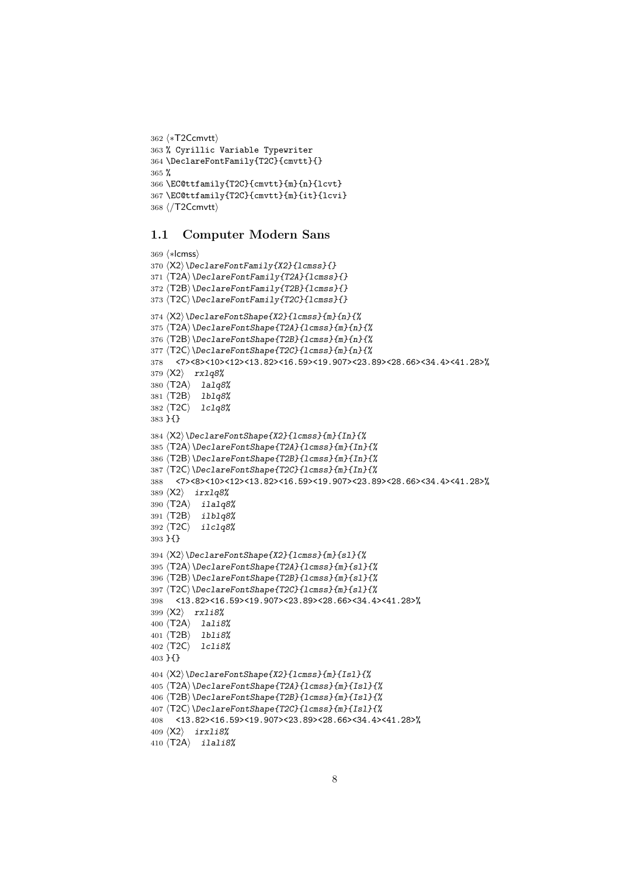```
362 ⟨∗T2Ccmvtt⟩
363 % Cyrillic Variable Typewriter
364 \DeclareFontFamily{T2C}{cmvtt}{}
365 %
366 \EC@ttfamily{T2C}{cmvtt}{m}{n}{lcvt}
367 \EC@ttfamily{T2C}{cmvtt}{m}{it}{lcvi}
368 ⟨/T2Ccmvtt⟩
```
#### 1.1 Computer Modern Sans

```
369 ⟨∗lcmss⟩
370 ⟨X2⟩\DeclareFontFamily{X2}{lcmss}{}
371 ⟨T2A⟩\DeclareFontFamily{T2A}{lcmss}{}
372 ⟨T2B⟩\DeclareFontFamily{T2B}{lcmss}{}
373 ⟨T2C⟩\DeclareFontFamily{T2C}{lcmss}{}
374 ⟨X2⟩\DeclareFontShape{X2}{lcmss}{m}{n}{%
375 ⟨T2A⟩\DeclareFontShape{T2A}{lcmss}{m}{n}{%
376 ⟨T2B⟩\DeclareFontShape{T2B}{lcmss}{m}{n}{%
377 ⟨T2C⟩\DeclareFontShape{T2C}{lcmss}{m}{n}{%
378 <7><8><10><12><13.82><16.59><19.907><23.89><28.66><34.4><41.28>%
379 ⟨X2⟩ rxlq8%
380 ⟨T2A⟩ lalq8%
381 ⟨T2B⟩ lblq8%
382 ⟨T2C⟩ lclq8%
383 }{}
384 ⟨X2⟩\DeclareFontShape{X2}{lcmss}{m}{In}{%
385 ⟨T2A⟩\DeclareFontShape{T2A}{lcmss}{m}{In}{%
386 ⟨T2B⟩\DeclareFontShape{T2B}{lcmss}{m}{In}{%
387 ⟨T2C⟩\DeclareFontShape{T2C}{lcmss}{m}{In}{%
388 <7><8><10><12><13.82><16.59><19.907><23.89><28.66><34.4><41.28>%
389 ⟨X2⟩ irxlq8%
390 ⟨T2A⟩ ilalq8%
391 ⟨T2B⟩ ilblq8%
392 ⟨T2C⟩ ilclq8%
393 }{}
394 \langle X2 \rangle \DeclareFontShape{X2}{1cmss}{m}{sl}{%
395 ⟨T2A⟩\DeclareFontShape{T2A}{lcmss}{m}{sl}{%
396 ⟨T2B⟩\DeclareFontShape{T2B}{lcmss}{m}{sl}{%
397 ⟨T2C⟩\DeclareFontShape{T2C}{lcmss}{m}{sl}{%
398 <13.82><16.59><19.907><23.89><28.66><34.4><41.28>%
399 ⟨X2⟩ rxli8%
400 ⟨T2A⟩ lali8%
401 ⟨T2B⟩ lbli8%
402 ⟨T2C⟩ lcli8%
403 }{}
404 \langle X2 \rangle \DeltaPeclareFontShape{X2}{lcmss}{m}{Isl}{%
405 ⟨T2A⟩\DeclareFontShape{T2A}{lcmss}{m}{Isl}{%
406 ⟨T2B⟩\DeclareFontShape{T2B}{lcmss}{m}{Isl}{%
407 ⟨T2C⟩\DeclareFontShape{T2C}{lcmss}{m}{Isl}{%
408 <13.82><16.59><19.907><23.89><28.66><34.4><41.28>%
409 ⟨X2⟩ irxli8%
410 ⟨T2A⟩ ilali8%
```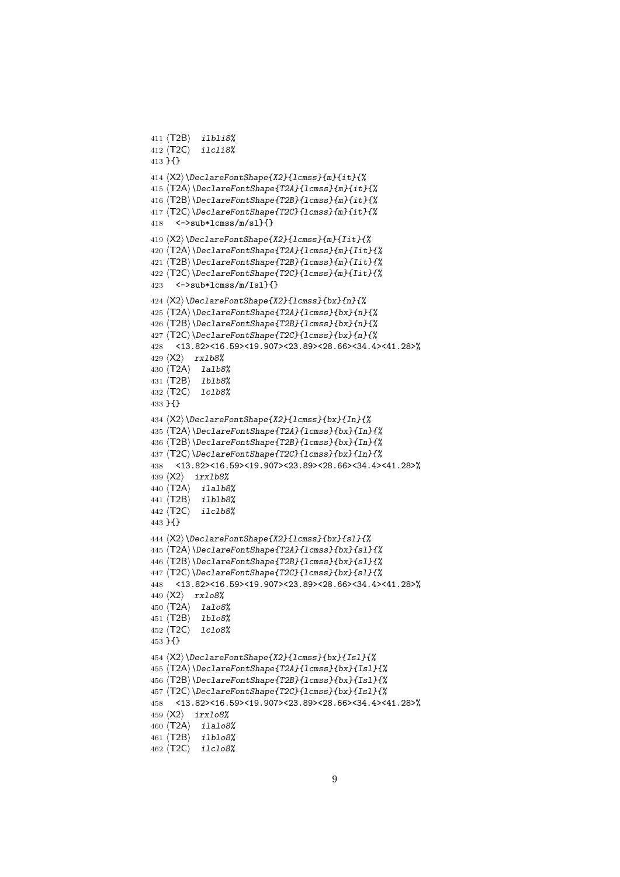```
411 ⟨T2B⟩ ilbli8%
412 ⟨T2C⟩ ilcli8%
413 }{}
414 ⟨X2⟩\DeclareFontShape{X2}{lcmss}{m}{it}{%
415 ⟨T2A⟩\DeclareFontShape{T2A}{lcmss}{m}{it}{%
416 ⟨T2B⟩\DeclareFontShape{T2B}{lcmss}{m}{it}{%
417 ⟨T2C⟩\DeclareFontShape{T2C}{lcmss}{m}{it}{%
418 \left\{\frac{-\text{Sub*lcmss}}{m}\right\}419 ⟨X2⟩\DeclareFontShape{X2}{lcmss}{m}{Iit}{%
420 ⟨T2A⟩\DeclareFontShape{T2A}{lcmss}{m}{Iit}{%
421 ⟨T2B⟩\DeclareFontShape{T2B}{lcmss}{m}{Iit}{%
422 ⟨T2C⟩\DeclareFontShape{T2C}{lcmss}{m}{Iit}{%
423 \left\{\frac{-\frac{1}{2}}{2}\right\}424 ⟨X2⟩\DeclareFontShape{X2}{lcmss}{bx}{n}{%
425 ⟨T2A⟩\DeclareFontShape{T2A}{lcmss}{bx}{n}{%
426 ⟨T2B⟩\DeclareFontShape{T2B}{lcmss}{bx}{n}{%
427 ⟨T2C⟩\DeclareFontShape{T2C}{lcmss}{bx}{n}{%
428 <13.82><16.59><19.907><23.89><28.66><34.4><41.28>%
429 ⟨X2⟩ rxlb8%
430 ⟨T2A⟩ lalb8%
431 ⟨T2B⟩ lblb8%
432 ⟨T2C⟩ lclb8%
433 }{}
434 ⟨X2⟩\DeclareFontShape{X2}{lcmss}{bx}{In}{%
435 ⟨T2A⟩\DeclareFontShape{T2A}{lcmss}{bx}{In}{%
436 ⟨T2B⟩\DeclareFontShape{T2B}{lcmss}{bx}{In}{%
437 ⟨T2C⟩\DeclareFontShape{T2C}{lcmss}{bx}{In}{%
438 <13.82><16.59><19.907><23.89><28.66><34.4><41.28>%
439 ⟨X2⟩ irxlb8%
440 ⟨T2A⟩ ilalb8%
441 ⟨T2B⟩ ilblb8%
442 ⟨T2C⟩ ilclb8%
443 }{}
444 ⟨X2⟩\DeclareFontShape{X2}{lcmss}{bx}{sl}{%
445 ⟨T2A⟩\DeclareFontShape{T2A}{lcmss}{bx}{sl}{%
446 ⟨T2B⟩\DeclareFontShape{T2B}{lcmss}{bx}{sl}{%
447 ⟨T2C⟩\DeclareFontShape{T2C}{lcmss}{bx}{sl}{%
448 <13.82><16.59><19.907><23.89><28.66><34.4><41.28>%
449 ⟨X2⟩ rxlo8%
450 ⟨T2A⟩ lalo8%
451 ⟨T2B⟩ lblo8%
452 ⟨T2C⟩ lclo8%
453 }{}
454 ⟨X2⟩\DeclareFontShape{X2}{lcmss}{bx}{Isl}{%
455 ⟨T2A⟩\DeclareFontShape{T2A}{lcmss}{bx}{Isl}{%
456 ⟨T2B⟩\DeclareFontShape{T2B}{lcmss}{bx}{Isl}{%
457 ⟨T2C⟩\DeclareFontShape{T2C}{lcmss}{bx}{Isl}{%
458 <13.82><16.59><19.907><23.89><28.66><34.4><41.28>%
459 ⟨X2⟩ irxlo8%
460 ⟨T2A⟩ ilalo8%
461 ⟨T2B⟩ ilblo8%
462 ⟨T2C⟩ ilclo8%
```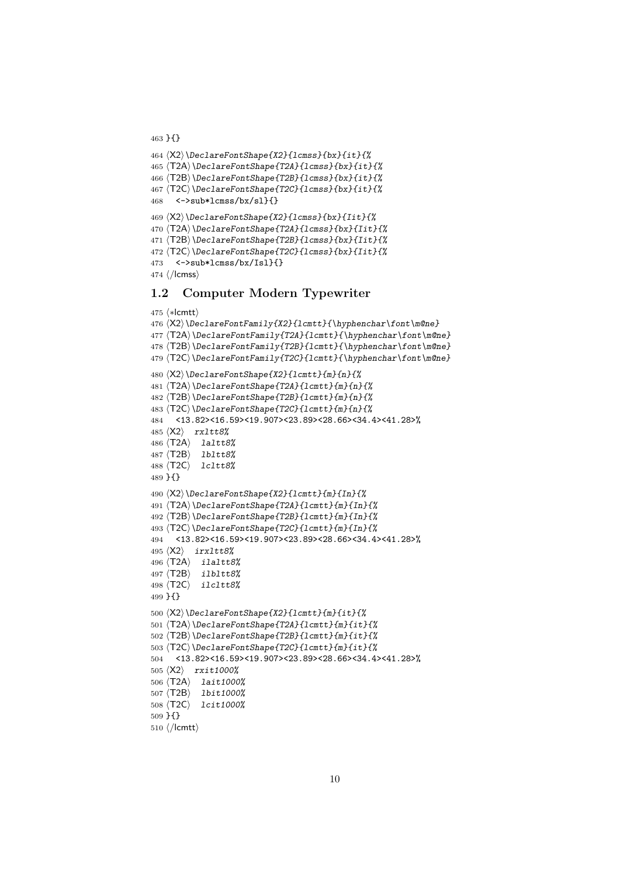```
464 ⟨X2⟩\DeclareFontShape{X2}{lcmss}{bx}{it}{%
465 ⟨T2A⟩\DeclareFontShape{T2A}{lcmss}{bx}{it}{%
466 ⟨T2B⟩\DeclareFontShape{T2B}{lcmss}{bx}{it}{%
467 ⟨T2C⟩\DeclareFontShape{T2C}{lcmss}{bx}{it}{%
468 <->sub*lcmss/bx/sl}{}
469 ⟨X2⟩\DeclareFontShape{X2}{lcmss}{bx}{Iit}{%
470 \langleT2A\rangle\langleDeclareFontShape{T2A}{lcmss}{bx}{Iit}{%
471 ⟨T2B⟩\DeclareFontShape{T2B}{lcmss}{bx}{Iit}{%
472 ⟨T2C⟩\DeclareFontShape{T2C}{lcmss}{bx}{Iit}{%
473 <->sub*lcmss/bx/Isl}{}
474 ⟨/lcmss⟩
```
}{}

#### 1.2 Computer Modern Typewriter

```
475 ⟨∗lcmtt⟩
476 ⟨X2⟩\DeclareFontFamily{X2}{lcmtt}{\hyphenchar\font\m@ne}
477 ⟨T2A⟩\DeclareFontFamily{T2A}{lcmtt}{\hyphenchar\font\m@ne}
478 ⟨T2B⟩\DeclareFontFamily{T2B}{lcmtt}{\hyphenchar\font\m@ne}
479\langle T2C\rangle\DeclarefontFamily\{T2C\} \mathrm{hyphenchar}\font\font\nonumber480 ⟨X2⟩\DeclareFontShape{X2}{lcmtt}{m}{n}{%
481 ⟨T2A⟩\DeclareFontShape{T2A}{lcmtt}{m}{n}{%
482 ⟨T2B⟩\DeclareFontShape{T2B}{lcmtt}{m}{n}{%
483 ⟨T2C⟩\DeclareFontShape{T2C}{lcmtt}{m}{n}{%
484 <13.82><16.59><19.907><23.89><28.66><34.4><41.28>%
485 ⟨X2⟩ rxltt8%
486 ⟨T2A⟩ laltt8%
487 ⟨T2B⟩ lbltt8%
488 ⟨T2C⟩ lcltt8%
489 }{}
490 ⟨X2⟩\DeclareFontShape{X2}{lcmtt}{m}{In}{%
491 ⟨T2A⟩\DeclareFontShape{T2A}{lcmtt}{m}{In}{%
492 ⟨T2B⟩\DeclareFontShape{T2B}{lcmtt}{m}{In}{%
493 ⟨T2C⟩\DeclareFontShape{T2C}{lcmtt}{m}{In}{%
494 <13.82><16.59><19.907><23.89><28.66><34.4><41.28>%
495 ⟨X2⟩ irxltt8%
496 ⟨T2A⟩ ilaltt8%
497 ⟨T2B⟩ ilbltt8%
498 ⟨T2C⟩ ilcltt8%
499 }{}
500 ⟨X2⟩\DeclareFontShape{X2}{lcmtt}{m}{it}{%
501 ⟨T2A⟩\DeclareFontShape{T2A}{lcmtt}{m}{it}{%
502 ⟨T2B⟩\DeclareFontShape{T2B}{lcmtt}{m}{it}{%
503 ⟨T2C⟩\DeclareFontShape{T2C}{lcmtt}{m}{it}{%
504 <13.82><16.59><19.907><23.89><28.66><34.4><41.28>%
505 ⟨X2⟩ rxit1000%
506 ⟨T2A⟩ lait1000%
507 ⟨T2B⟩ lbit1000%
508 ⟨T2C⟩ lcit1000%
509 }{}
510 ⟨/lcmtt⟩
```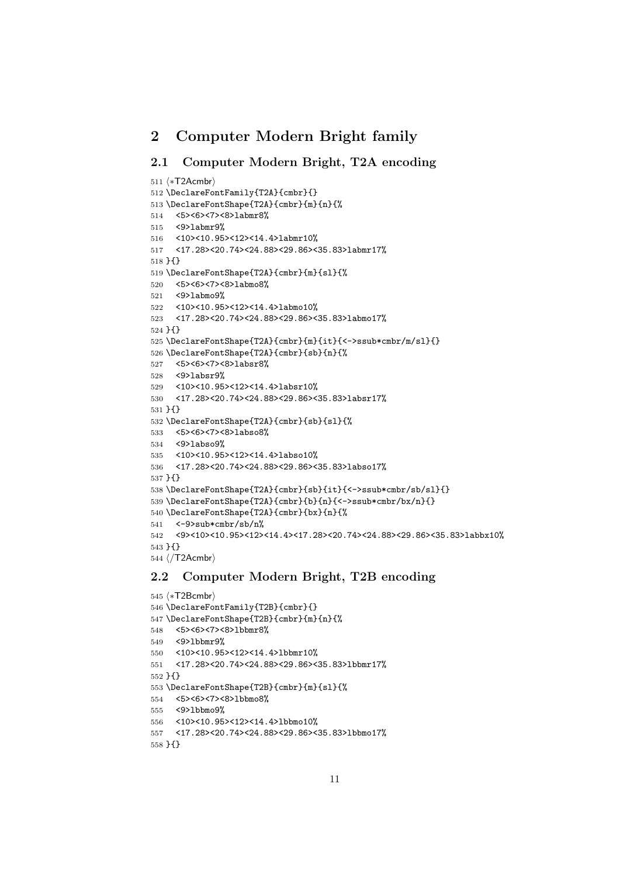## 2 Computer Modern Bright family

## 2.1 Computer Modern Bright, T2A encoding

```
511 ⟨∗T2Acmbr⟩
512 \DeclareFontFamily{T2A}{cmbr}{}
513 \DeclareFontShape{T2A}{cmbr}{m}{n}{%
514 <5><6><7><8>labmr8%
515 <9>labmr9%
516 <10><10.95><12><14.4>labmr10%
517 <17.28><20.74><24.88><29.86><35.83>labmr17%
518 }{}
519 \DeclareFontShape{T2A}{cmbr}{m}{sl}{%
520 <5><6><7><8>labmo8%
521 <9>labmo9%
522 <10><10.95><12><14.4>labmo10%
523 <17.28><20.74><24.88><29.86><35.83>labmo17%
524 }{}
525 \DeclareFontShape{T2A}{cmbr}{m}{it}{<->ssub*cmbr/m/sl}{}
526 \DeclareFontShape{T2A}{cmbr}{sb}{n}{%
527 <5><6><7><8>labsr8%
528 <9>labsr9%
529 <10><10.95><12><14.4>labsr10%
530 <17.28><20.74><24.88><29.86><35.83>labsr17%
531 }{}
532 \DeclareFontShape{T2A}{cmbr}{sb}{sl}{%
533 <5><6><7><8>labso8%
534 <9>labso9%
535 <10><10.95><12><14.4>labso10%
536 <17.28><20.74><24.88><29.86><35.83>labso17%
537 }{}
538 \DeclareFontShape{T2A}{cmbr}{sb}{it}{<->ssub*cmbr/sb/sl}{}
539 \DeclareFontShape{T2A}{cmbr}{b}{n}{<->ssub*cmbr/bx/n}{}
540 \DeclareFontShape{T2A}{cmbr}{bx}{n}{%
541 \langle-9>sub*cmbr/sb/n%
542 <9><10><10.95><12><14.4><17.28><20.74><24.88><29.86><35.83>labbx10%
543 }{}
544 ⟨/T2Acmbr⟩
```
## 2.2 Computer Modern Bright, T2B encoding

```
545 ⟨∗T2Bcmbr⟩
546 \DeclareFontFamily{T2B}{cmbr}{}
547 \DeclareFontShape{T2B}{cmbr}{m}{n}{%
548 <5><6><7><8>lbbmr8%
549 <9>lbbmr9%
550 <10><10.95><12><14.4>lbbmr10%
551 <17.28><20.74><24.88><29.86><35.83>lbbmr17%
552 }{}
553 \DeclareFontShape{T2B}{cmbr}{m}{sl}{%
554 <5><6><7><8>lbbmo8%
555 <9>lbbmo9%
556 <10><10.95><12><14.4>lbbmo10%
557 <17.28><20.74><24.88><29.86><35.83>lbbmo17%
558 }{}
```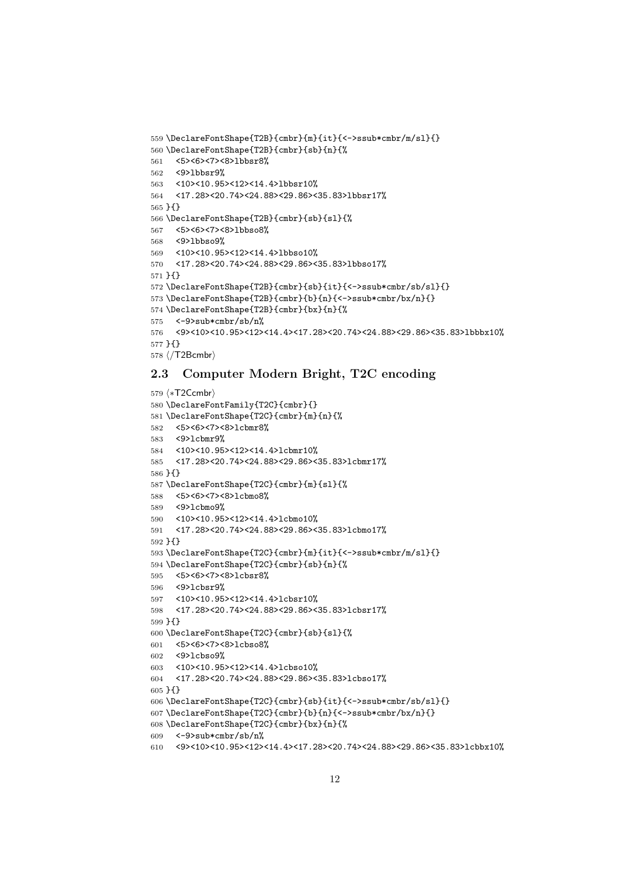```
559 \DeclareFontShape{T2B}{cmbr}{m}{it}{<->ssub*cmbr/m/sl}{}
560 \DeclareFontShape{T2B}{cmbr}{sb}{n}{%
561 <5><6><7><8>lbbsr8%
562 <9>lbbsr9%
563 <10><10.95><12><14.4>lbbsr10%
564 <17.28><20.74><24.88><29.86><35.83>lbbsr17%
565 }{}
566 \DeclareFontShape{T2B}{cmbr}{sb}{sl}{%
567 <5><6><7><8>lbbso8%
568 <9>lbbso9%
569 <10><10.95><12><14.4>lbbso10%
570 <17.28><20.74><24.88><29.86><35.83>lbbso17%
571 }{}
572 \DeclareFontShape{T2B}{cmbr}{sb}{it}{<->ssub*cmbr/sb/sl}{}
573 \DeclareFontShape{T2B}{cmbr}{b}{n}{<->ssub*cmbr/bx/n}{}
574 \DeclareFontShape{T2B}{cmbr}{bx}{n}{%
575 <-9>sub*cmbr/sb/n%
576 <9><10><10.95><12><14.4><17.28><20.74><24.88><29.86><35.83>lbbbx10%
577 }{}
578 ⟨/T2Bcmbr⟩
```
#### 2.3 Computer Modern Bright, T2C encoding

```
579 ⟨∗T2Ccmbr⟩
580 \DeclareFontFamily{T2C}{cmbr}{}
581 \DeclareFontShape{T2C}{cmbr}{m}{n}{%
582 <5><6><7><8>lcbmr8%
583 <9>lcbmr9%
584 <10><10.95><12><14.4>lcbmr10%
585 <17.28><20.74><24.88><29.86><35.83>lcbmr17%
586 }{}
587 \DeclareFontShape{T2C}{cmbr}{m}{sl}{%
588 <5><6><7><8>lcbmo8%
589 <9>lcbmo9%
590 <10><10.95><12><14.4>lcbmo10%
591 <17.28><20.74><24.88><29.86><35.83>lcbmo17%
592 }{}
593 \DeclareFontShape{T2C}{cmbr}{m}{it}{<->ssub*cmbr/m/sl}{}
594 \DeclareFontShape{T2C}{cmbr}{sb}{n}{%
595 <5><6><7><8>lcbsr8%
596 <9>lcbsr9%
597 <10><10.95><12><14.4>lcbsr10%
598 <17.28><20.74><24.88><29.86><35.83>lcbsr17%
599 }{}
600 \DeclareFontShape{T2C}{cmbr}{sb}{sl}{%
601 <5><6><7><8>lcbso8%
602 <9>lcbso9%
603 <10><10.95><12><14.4>lcbso10%
604 <17.28><20.74><24.88><29.86><35.83>lcbso17%
605 }{}
606 \DeclareFontShape{T2C}{cmbr}{sb}{it}{<->ssub*cmbr/sb/sl}{}
607 \DeclareFontShape{T2C}{cmbr}{b}{n}{<->ssub*cmbr/bx/n}{}
608 \DeclareFontShape{T2C}{cmbr}{bx}{n}{%
609 <-9>sub*cmbr/sb/n%
610 <9><10><10.95><12><14.4><17.28><20.74><24.88><29.86><35.83>lcbbx10%
```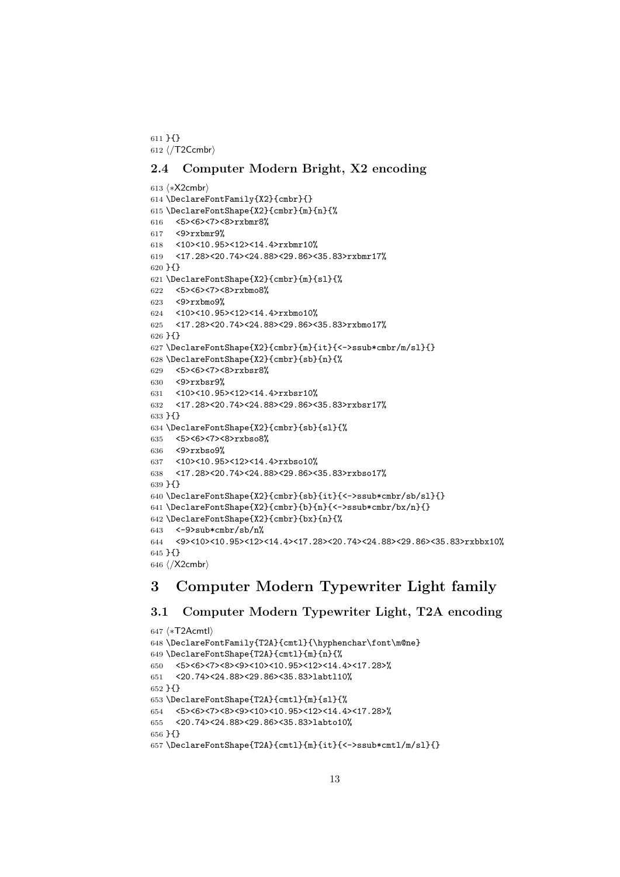}{} ⟨/T2Ccmbr⟩

### 2.4 Computer Modern Bright, X2 encoding

```
613 ⟨∗X2cmbr⟩
614 \DeclareFontFamily{X2}{cmbr}{}
615 \DeclareFontShape{X2}{cmbr}{m}{n}{%
616 <5><6><7><8>rxbmr8%
617 <9>rxbmr9%
618 <10><10.95><12><14.4>rxbmr10%
619 <17.28><20.74><24.88><29.86><35.83>rxbmr17%
620 }{}
621 \DeclareFontShape{X2}{cmbr}{m}{sl}{%
622 <5><6><7><8>rxbmo8%
623 <9>rxbmo9%
624 <10><10.95><12><14.4>rxbmo10%
625 <17.28><20.74><24.88><29.86><35.83>rxbmo17%
626 }{}
627 \DeclareFontShape{X2}{cmbr}{m}{it}{<->ssub*cmbr/m/sl}{}
628 \DeclareFontShape{X2}{cmbr}{sb}{n}{%
629 <5><6><7><8>rxbsr8%
630 <9>rxbsr9%
631 <10><10.95><12><14.4>rxbsr10%
632 <17.28><20.74><24.88><29.86><35.83>rxbsr17%
633 }{}
634 \DeclareFontShape{X2}{cmbr}{sb}{sl}{%
635 <5><6><7><8>rxbso8%
636 <9>rxbso9%
637 <10><10.95><12><14.4>rxbso10%
638 <17.28><20.74><24.88><29.86><35.83>rxbso17%
639 }{}
640 \DeclareFontShape{X2}{cmbr}{sb}{it}{<->ssub*cmbr/sb/sl}{}
641 \DeclareFontShape{X2}{cmbr}{b}{n}{<->ssub*cmbr/bx/n}{}
642 \DeclareFontShape{X2}{cmbr}{bx}{n}{%
643 \leq -9>sub*cmbr/sb/n%
644 <9><10><10.95><12><14.4><17.28><20.74><24.88><29.86><35.83>rxbbx10%
645 }{}
646 ⟨/X2cmbr⟩
```
## 3 Computer Modern Typewriter Light family

## 3.1 Computer Modern Typewriter Light, T2A encoding

```
647 ⟨∗T2Acmtl⟩
648 \DeclareFontFamily{T2A}{cmtl}{\hyphenchar\font\m@ne}
649 \DeclareFontShape{T2A}{cmtl}{m}{n}{%
650 <5><6><7><8><9><10><10.95><12><14.4><17.28>%
651 <20.74><24.88><29.86><35.83>labtl10%
652 }{}
653 \DeclareFontShape{T2A}{cmtl}{m}{sl}{%
654 <5><6><7><8><9><10><10.95><12><14.4><17.28>%
655 <20.74><24.88><29.86><35.83>labto10%
656 }{}
657 \DeclareFontShape{T2A}{cmtl}{m}{it}{<->ssub*cmtl/m/sl}{}
```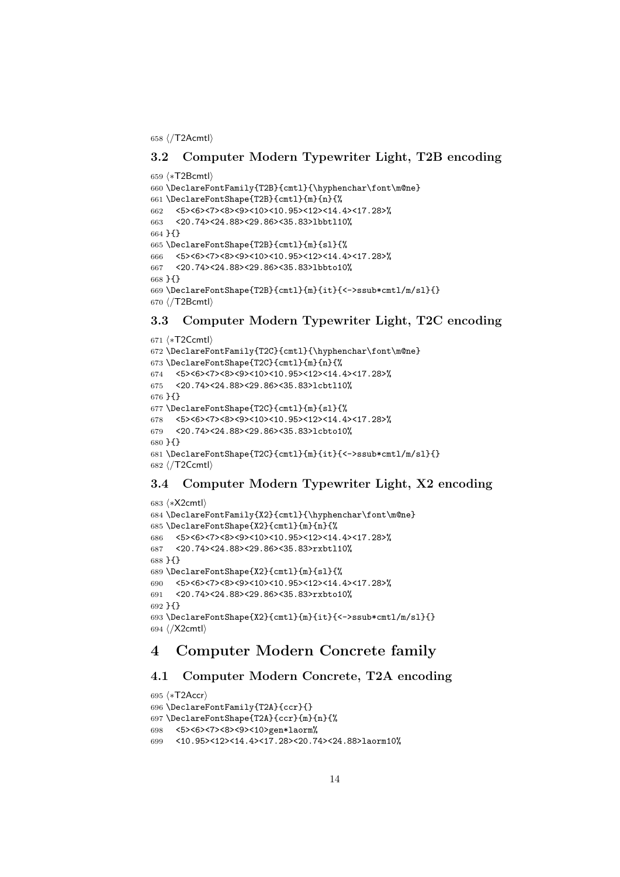⟨/T2Acmtl⟩

### 3.2 Computer Modern Typewriter Light, T2B encoding

```
659 ⟨∗T2Bcmtl⟩
660 \DeclareFontFamily{T2B}{cmtl}{\hyphenchar\font\m@ne}
661 \DeclareFontShape{T2B}{cmtl}{m}{n}{%
662 <5><6><7><8><9><10><10.95><12><14.4><17.28>%
663 <20.74><24.88><29.86><35.83>lbbtl10%
664 }{}
665 \DeclareFontShape{T2B}{cmtl}{m}{sl}{%
666 <5><6><7><8><9><10><10.95><12><14.4><17.28>%
667 <20.74><24.88><29.86><35.83>lbbto10%
668 }{}
669 \DeclareFontShape{T2B}{cmtl}{m}{it}{<->ssub*cmtl/m/sl}{}
670 ⟨/T2Bcmtl⟩
```
#### 3.3 Computer Modern Typewriter Light, T2C encoding

```
671 ⟨∗T2Ccmtl⟩
672 \DeclareFontFamily{T2C}{cmtl}{\hyphenchar\font\m@ne}
673 \DeclareFontShape{T2C}{cmtl}{m}{n}{%
674 <5><6><7><8><9><10><10.95><12><14.4><17.28>%
675 <20.74><24.88><29.86><35.83>lcbtl10%
676 }{}
677 \DeclareFontShape{T2C}{cmtl}{m}{sl}{%
678 <5><6><7><8><9><10><10.95><12><14.4><17.28>%
679 <20.74><24.88><29.86><35.83>lcbto10%
680 }{}
681 \DeclareFontShape{T2C}{cmtl}{m}{it}{<->ssub*cmtl/m/sl}{}
682 ⟨/T2Ccmtl⟩
```
## 3.4 Computer Modern Typewriter Light, X2 encoding

```
683 ⟨∗X2cmtl⟩
684 \DeclareFontFamily{X2}{cmtl}{\hyphenchar\font\m@ne}
685 \DeclareFontShape{X2}{cmtl}{m}{n}{%
686 <5><6><7><8><9><10><10.95><12><14.4><17.28>%
687 <20.74><24.88><29.86><35.83>rxbtl10%
688 }{}
689 \DeclareFontShape{X2}{cmtl}{m}{sl}{%
690 <5><6><7><8><9><10><10.95><12><14.4><17.28>%
691 <20.74><24.88><29.86><35.83>rxbto10%
692 }{}
693 \DeclareFontShape{X2}{cmtl}{m}{it}{<->ssub*cmtl/m/sl}{}
694 ⟨/X2cmtl⟩
```
## 4 Computer Modern Concrete family

#### 4.1 Computer Modern Concrete, T2A encoding

```
695 ⟨∗T2Accr⟩
696 \DeclareFontFamily{T2A}{ccr}{}
697 \DeclareFontShape{T2A}{ccr}{m}{n}{%
698 <5><6><7><8><9><10>gen*laorm%
699 <10.95><12><14.4><17.28><20.74><24.88>laorm10%
```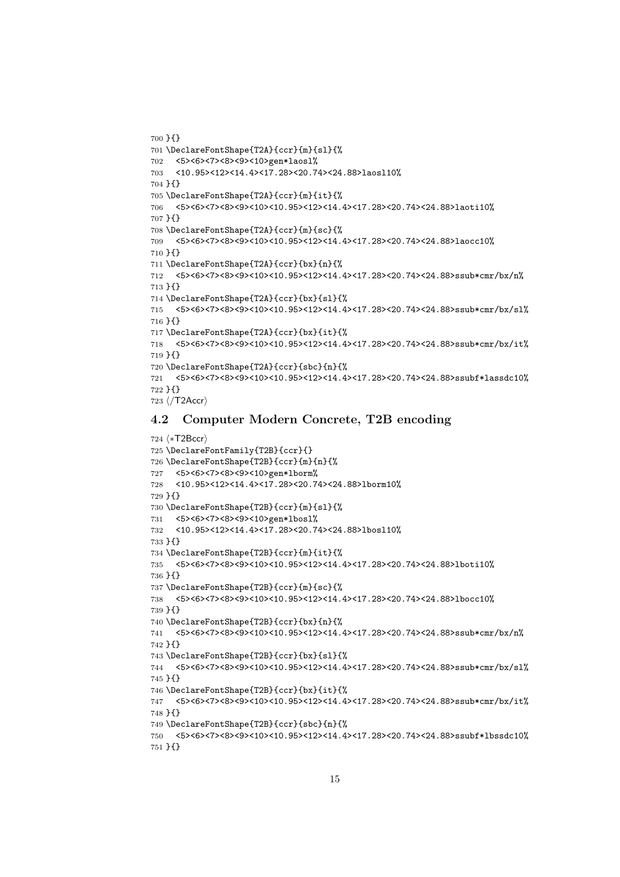```
700 }{}
701 \DeclareFontShape{T2A}{ccr}{m}{sl}{%
702 <5><6><7><8><9><10>gen*laosl%
703 <10.95><12><14.4><17.28><20.74><24.88>laosl10%
704 }{}
705 \DeclareFontShape{T2A}{ccr}{m}{it}{%
706 <5><6><7><8><9><10><10.95><12><14.4><17.28><20.74><24.88>laoti10%
707 }{}
708 \DeclareFontShape{T2A}{ccr}{m}{sc}{%
709 <5><6><7><8><9><10><10.95><12><14.4><17.28><20.74><24.88>laocc10%
710 }{}
711 \DeclareFontShape{T2A}{ccr}{bx}{n}{%
712 <5><6><7><8><9><10><10.95><12><14.4><17.28><20.74><24.88>ssub*cmr/bx/n%
713 }{}
714 \DeclareFontShape{T2A}{ccr}{bx}{sl}{%
715 <5><6><7><8><9><10><10.95><12><14.4><17.28><20.74><24.88>ssub*cmr/bx/sl%
716 }{}
717 \DeclareFontShape{T2A}{ccr}{bx}{it}{%
718 <5><6><7><8><9><10><10.95><12><14.4><17.28><20.74><24.88>ssub*cmr/bx/it%
719 }{}
720 \DeclareFontShape{T2A}{ccr}{sbc}{n}{%
721 <5><6><7><8><9><10><10.95><12><14.4><17.28><20.74><24.88>ssubf*lassdc10%
722 }{}
723 ⟨/T2Accr⟩
```
#### 4.2 Computer Modern Concrete, T2B encoding

```
724 ⟨∗T2Bccr⟩
725 \DeclareFontFamily{T2B}{ccr}{}
726 \DeclareFontShape{T2B}{ccr}{m}{n}{%
727 <5><6><7><8><9><10>gen*lborm%
728 <10.95><12><14.4><17.28><20.74><24.88>lborm10%
729 }{}
730 \DeclareFontShape{T2B}{ccr}{m}{sl}{%
731 <5><6><7><8><9><10>gen*lbosl%
732 <10.95><12><14.4><17.28><20.74><24.88>lbosl10%
733 }{}
734 \DeclareFontShape{T2B}{ccr}{m}{it}{%
735 <5><6><7><8><9><10><10.95><12><14.4><17.28><20.74><24.88>lboti10%
736 }{}
737 \DeclareFontShape{T2B}{ccr}{m}{sc}{%
738 <5><6><7><8><9><10><10.95><12><14.4><17.28><20.74><24.88>lbocc10%
739 }{}
740 \DeclareFontShape{T2B}{ccr}{bx}{n}{%
741 <5><6><7><8><9><10><10.95><12><14.4><17.28><20.74><24.88>ssub*cmr/bx/n%
742 }{}
743 \DeclareFontShape{T2B}{ccr}{bx}{sl}{%
744 <5><6><7><8><9><10><10.95><12><14.4><17.28><20.74><24.88>ssub*cmr/bx/sl%
745 }{}
746 \DeclareFontShape{T2B}{ccr}{bx}{it}{%
747 <5><6><7><8><9><10><10.95><12><14.4><17.28><20.74><24.88>ssub*cmr/bx/it%
748 }{}
749 \DeclareFontShape{T2B}{ccr}{sbc}{n}{%
750 <5><6><7><8><9><10><10.95><12><14.4><17.28><20.74><24.88>ssubf*lbssdc10%
751 }{}
```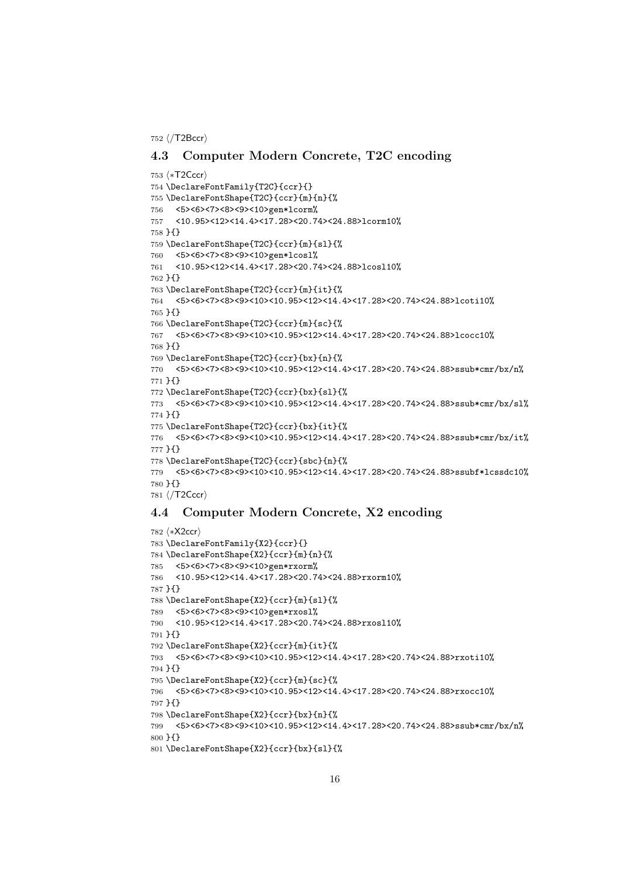⟨/T2Bccr⟩

#### 4.3 Computer Modern Concrete, T2C encoding

```
753 ⟨∗T2Cccr⟩
754 \DeclareFontFamily{T2C}{ccr}{}
755 \DeclareFontShape{T2C}{ccr}{m}{n}{%
756 <5><6><7><8><9><10>gen*lcorm%
757 <10.95><12><14.4><17.28><20.74><24.88>lcorm10%
758 }{}
759 \DeclareFontShape{T2C}{ccr}{m}{sl}{%
760 <5><6><7><8><9><10>gen*lcosl%
761 <10.95><12><14.4><17.28><20.74><24.88>lcosl10%
762 }{}
763 \DeclareFontShape{T2C}{ccr}{m}{it}{%
764 <5><6><7><8><9><10><10.95><12><14.4><17.28><20.74><24.88>lcoti10%
765 }{}
766 \DeclareFontShape{T2C}{ccr}{m}{sc}{%
767 <5><6><7><8><9><10><10.95><12><14.4><17.28><20.74><24.88>lcocc10%
768 }{}
769 \DeclareFontShape{T2C}{ccr}{bx}{n}{%
770 <5><6><7><8><9><10><10.95><12><14.4><17.28><20.74><24.88>ssub*cmr/bx/n%
771 }{}
772 \DeclareFontShape{T2C}{ccr}{bx}{sl}{%
773 <5><6><7><8><9><10><10.95><12><14.4><17.28><20.74><24.88>ssub*cmr/bx/sl%
774 }{}
775 \DeclareFontShape{T2C}{ccr}{bx}{it}{%
776 <5><6><7><8><9><10><10.95><12><14.4><17.28><20.74><24.88>ssub*cmr/bx/it%
777 }{}
778 \DeclareFontShape{T2C}{ccr}{sbc}{n}{%
779 <5><6><7><8><9><10><10.95><12><14.4><17.28><20.74><24.88>ssubf*lcssdc10%
780 }{}
781 ⟨/T2Cccr⟩
```
### 4.4 Computer Modern Concrete, X2 encoding

```
782 ⟨∗X2ccr⟩
783 \DeclareFontFamily{X2}{ccr}{}
784 \DeclareFontShape{X2}{ccr}{m}{n}{%
785 <5><6><7><8><9><10>gen*rxorm%
786 <10.95><12><14.4><17.28><20.74><24.88>rxorm10%
787 }{}
788 \DeclareFontShape{X2}{ccr}{m}{sl}{%
789 <5><6><7><8><9><10>gen*rxosl%
790 <10.95><12><14.4><17.28><20.74><24.88>rxosl10%
791 }{}
792 \DeclareFontShape{X2}{ccr}{m}{it}{%
793 <5><6><7><8><9><10><10.95><12><14.4><17.28><20.74><24.88>rxoti10%
794 }{}
795 \DeclareFontShape{X2}{ccr}{m}{sc}{%
796 <5><6><7><8><9><10><10.95><12><14.4><17.28><20.74><24.88>rxocc10%
797 }{}
798 \DeclareFontShape{X2}{ccr}{bx}{n}{%
799 <5><6><7><8><9><10><10.95><12><14.4><17.28><20.74><24.88>ssub*cmr/bx/n%
800 }{}
801 \DeclareFontShape{X2}{ccr}{bx}{sl}{%
```